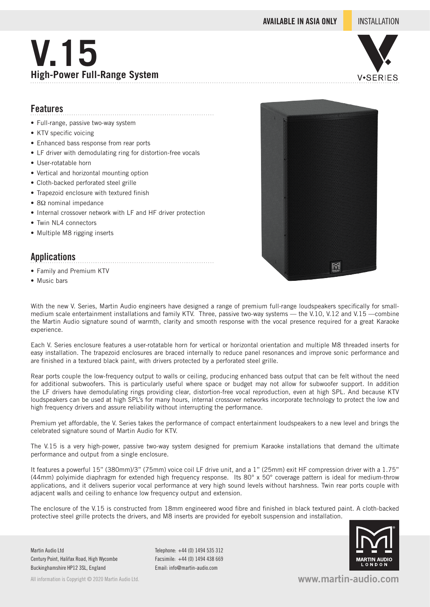**AVAILABLE IN ASIA ONLY** INSTALLATION

# **V.15 High-Power Full-Range System**



### **Features**

- Full-range, passive two-way system
- KTV specific voicing
- Enhanced bass response from rear ports
- LF driver with demodulating ring for distortion-free vocals

- User-rotatable horn
- Vertical and horizontal mounting option
- Cloth-backed perforated steel grille
- Trapezoid enclosure with textured finish
- 8Ω nominal impedance
- Internal crossover network with LF and HF driver protection
- Twin NL4 connectors
- Multiple M8 rigging inserts

#### **Applications**

- Family and Premium KTV
- Music bars



With the new V. Series, Martin Audio engineers have designed a range of premium full-range loudspeakers specifically for smallmedium scale entertainment installations and family KTV. Three, passive two-way systems — the V.10, V.12 and V.15 —combine the Martin Audio signature sound of warmth, clarity and smooth response with the vocal presence required for a great Karaoke experience.

Each V. Series enclosure features a user-rotatable horn for vertical or horizontal orientation and multiple M8 threaded inserts for easy installation. The trapezoid enclosures are braced internally to reduce panel resonances and improve sonic performance and are finished in a textured black paint, with drivers protected by a perforated steel grille.

Rear ports couple the low-frequency output to walls or ceiling, producing enhanced bass output that can be felt without the need for additional subwoofers. This is particularly useful where space or budget may not allow for subwoofer support. In addition the LF drivers have demodulating rings providing clear, distortion-free vocal reproduction, even at high SPL. And because KTV loudspeakers can be used at high SPL's for many hours, internal crossover networks incorporate technology to protect the low and high frequency drivers and assure reliability without interrupting the performance.

Premium yet affordable, the V. Series takes the performance of compact entertainment loudspeakers to a new level and brings the celebrated signature sound of Martin Audio for KTV.

The V.15 is a very high-power, passive two-way system designed for premium Karaoke installations that demand the ultimate performance and output from a single enclosure.

It features a powerful 15" (380mm)/3" (75mm) voice coil LF drive unit, and a 1" (25mm) exit HF compression driver with a 1.75" (44mm) polyimide diaphragm for extended high frequency response. Its 80° x 50° coverage pattern is ideal for medium-throw applications, and it delivers superior vocal performance at very high sound levels without harshness. Twin rear ports couple with adjacent walls and ceiling to enhance low frequency output and extension.

The enclosure of the V.15 is constructed from 18mm engineered wood fibre and finished in black textured paint. A cloth-backed protective steel grille protects the drivers, and M8 inserts are provided for eyebolt suspension and installation.



Martin Audio Ltd Century Point, Halifax Road, High Wycombe Buckinghamshire HP12 3SL, England

All information is Copyright © 2020 Martin Audio Ltd.

Telephone: +44 (0) 1494 535 312 Facsimile: +44 (0) 1494 438 669 Email: info@martin-audio.com

**www.martin-audio.com**